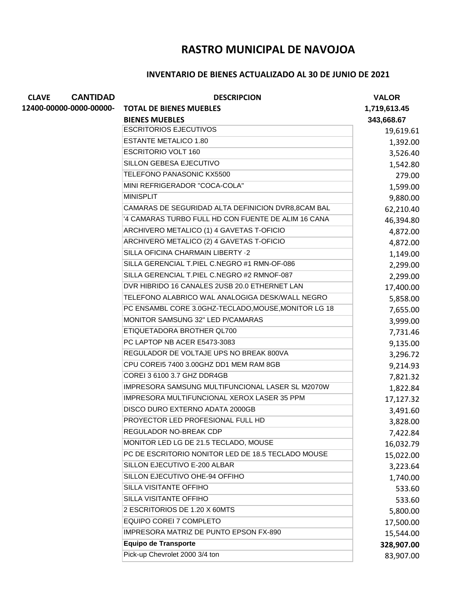## **RASTRO MUNICIPAL DE NAVOJOA**

## **INVENTARIO DE BIENES ACTUALIZADO AL 30 DE JUNIO DE 2021**

| <b>CANTIDAD</b><br><b>CLAVE</b> | <b>DESCRIPCION</b>                                   | <b>VALOR</b> |
|---------------------------------|------------------------------------------------------|--------------|
| 12400-00000-0000-00000-         | <b>TOTAL DE BIENES MUEBLES</b>                       | 1,719,613.45 |
|                                 | <b>BIENES MUEBLES</b>                                | 343,668.67   |
|                                 | <b>ESCRITORIOS EJECUTIVOS</b>                        | 19,619.61    |
|                                 | <b>ESTANTE METALICO 1.80</b>                         | 1,392.00     |
|                                 | <b>ESCRITORIO VOLT 160</b>                           | 3,526.40     |
|                                 | SILLON GEBESA EJECUTIVO                              | 1,542.80     |
|                                 | TELEFONO PANASONIC KX5500                            | 279.00       |
|                                 | MINI REFRIGERADOR "COCA-COLA"                        | 1,599.00     |
|                                 | <b>MINISPLIT</b>                                     | 9,880.00     |
|                                 | CAMARAS DE SEGURIDAD ALTA DEFINICION DVR8,8CAM BAL   | 62,210.40    |
|                                 | '4 CAMARAS TURBO FULL HD CON FUENTE DE ALIM 16 CANA  | 46,394.80    |
|                                 | ARCHIVERO METALICO (1) 4 GAVETAS T-OFICIO            | 4,872.00     |
|                                 | ARCHIVERO METALICO (2) 4 GAVETAS T-OFICIO            | 4,872.00     |
|                                 | SILLA OFICINA CHARMAIN LIBERTY -2                    | 1,149.00     |
|                                 | SILLA GERENCIAL T.PIEL C.NEGRO #1 RMN-OF-086         | 2,299.00     |
|                                 | SILLA GERENCIAL T.PIEL C.NEGRO #2 RMNOF-087          | 2,299.00     |
|                                 | DVR HIBRIDO 16 CANALES 2USB 20.0 ETHERNET LAN        | 17,400.00    |
|                                 | TELEFONO ALABRICO WAL ANALOGIGA DESK/WALL NEGRO      | 5,858.00     |
|                                 | PC ENSAMBL CORE 3.0GHZ-TECLADO, MOUSE, MONITOR LG 18 | 7,655.00     |
|                                 | <b>MONITOR SAMSUNG 32" LED P/CAMARAS</b>             | 3,999.00     |
|                                 | ETIQUETADORA BROTHER QL700                           | 7,731.46     |
|                                 | PC LAPTOP NB ACER E5473-3083                         | 9,135.00     |
|                                 | REGULADOR DE VOLTAJE UPS NO BREAK 800VA              | 3,296.72     |
|                                 | CPU COREI5 7400 3.00GHZ DD1 MEM RAM 8GB              | 9,214.93     |
|                                 | COREI 3 6100 3.7 GHZ DDR4GB                          | 7,821.32     |
|                                 | IMPRESORA SAMSUNG MULTIFUNCIONAL LASER SL M2070W     | 1,822.84     |
|                                 | IMPRESORA MULTIFUNCIONAL XEROX LASER 35 PPM          | 17,127.32    |
|                                 | DISCO DURO EXTERNO ADATA 2000GB                      | 3,491.60     |
|                                 | PROYECTOR LED PROFESIONAL FULL HD                    | 3,828.00     |
|                                 | REGULADOR NO-BREAK CDP                               | 7,422.84     |
|                                 | MONITOR LED LG DE 21.5 TECLADO, MOUSE                | 16,032.79    |
|                                 | PC DE ESCRITORIO NONITOR LED DE 18.5 TECLADO MOUSE   | 15,022.00    |
|                                 | SILLON EJECUTIVO E-200 ALBAR                         | 3,223.64     |
|                                 | SILLON EJECUTIVO OHE-94 OFFIHO                       | 1,740.00     |
|                                 | SILLA VISITANTE OFFIHO                               | 533.60       |
|                                 | SILLA VISITANTE OFFIHO                               | 533.60       |
|                                 | 2 ESCRITORIOS DE 1.20 X 60MTS                        | 5,800.00     |
|                                 | EQUIPO COREI 7 COMPLETO                              | 17,500.00    |
|                                 | IMPRESORA MATRIZ DE PUNTO EPSON FX-890               | 15,544.00    |
|                                 | <b>Equipo de Transporte</b>                          | 328,907.00   |
|                                 | Pick-up Chevrolet 2000 3/4 ton                       | 83,907.00    |
|                                 |                                                      |              |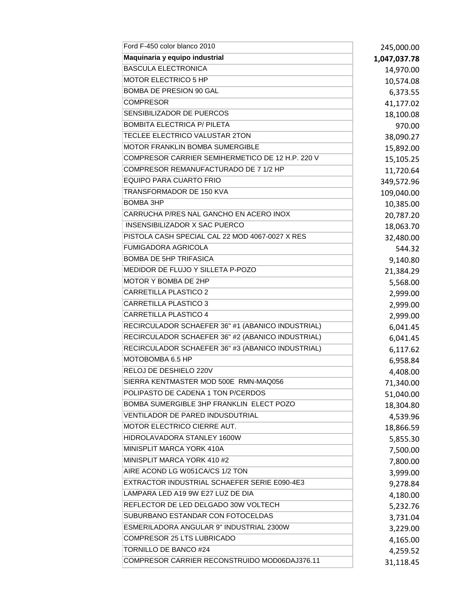| Ford F-450 color blanco 2010                      | 245,000.00   |
|---------------------------------------------------|--------------|
| Maquinaria y equipo industrial                    | 1,047,037.78 |
| <b>BASCULA ELECTRONICA</b>                        | 14,970.00    |
| MOTOR ELECTRICO 5 HP                              | 10,574.08    |
| <b>BOMBA DE PRESION 90 GAL</b>                    | 6,373.55     |
| <b>COMPRESOR</b>                                  | 41,177.02    |
| SENSIBILIZADOR DE PUERCOS                         | 18,100.08    |
| <b>BOMBITA ELECTRICA P/ PILETA</b>                | 970.00       |
| TECLEE ELECTRICO VALUSTAR 2TON                    | 38,090.27    |
| MOTOR FRANKLIN BOMBA SUMERGIBLE                   | 15,892.00    |
| COMPRESOR CARRIER SEMIHERMETICO DE 12 H.P. 220 V  | 15,105.25    |
| COMPRESOR REMANUFACTURADO DE 7 1/2 HP             | 11,720.64    |
| <b>EQUIPO PARA CUARTO FRIO</b>                    | 349,572.96   |
| TRANSFORMADOR DE 150 KVA                          | 109,040.00   |
| <b>BOMBA 3HP</b>                                  | 10,385.00    |
| CARRUCHA P/RES NAL GANCHO EN ACERO INOX           | 20,787.20    |
| INSENSIBILIZADOR X SAC PUERCO                     | 18,063.70    |
| PISTOLA CASH SPECIAL CAL 22 MOD 4067-0027 X RES   | 32,480.00    |
| <b>FUMIGADORA AGRICOLA</b>                        | 544.32       |
| <b>BOMBA DE 5HP TRIFASICA</b>                     | 9,140.80     |
| MEDIDOR DE FLUJO Y SILLETA P-POZO                 | 21,384.29    |
| MOTOR Y BOMBA DE 2HP                              | 5,568.00     |
| <b>CARRETILLA PLASTICO 2</b>                      | 2,999.00     |
| <b>CARRETILLA PLASTICO 3</b>                      | 2,999.00     |
| <b>CARRETILLA PLASTICO 4</b>                      | 2,999.00     |
| RECIRCULADOR SCHAEFER 36" #1 (ABANICO INDUSTRIAL) | 6,041.45     |
| RECIRCULADOR SCHAEFER 36" #2 (ABANICO INDUSTRIAL) | 6,041.45     |
| RECIRCULADOR SCHAEFER 36" #3 (ABANICO INDUSTRIAL) | 6,117.62     |
| МОТОВОМВА 6.5 НР                                  | 6,958.84     |
| RELOJ DE DESHIELO 220V                            | 4,408.00     |
| SIERRA KENTMASTER MOD 500E RMN-MAQ056             | 71,340.00    |
| POLIPASTO DE CADENA 1 TON P/CERDOS                | 51,040.00    |
| BOMBA SUMERGIBLE 3HP FRANKLIN ELECT POZO          | 18,304.80    |
| VENTILADOR DE PARED INDUSDUTRIAL                  | 4,539.96     |
| MOTOR ELECTRICO CIERRE AUT.                       | 18,866.59    |
| HIDROLAVADORA STANLEY 1600W                       | 5,855.30     |
| MINISPLIT MARCA YORK 410A                         | 7,500.00     |
| MINISPLIT MARCA YORK 410 #2                       | 7,800.00     |
| AIRE ACOND LG W051CA/CS 1/2 TON                   | 3,999.00     |
| EXTRACTOR INDUSTRIAL SCHAEFER SERIE E090-4E3      | 9,278.84     |
| LAMPARA LED A19 9W E27 LUZ DE DIA                 | 4,180.00     |
| REFLECTOR DE LED DELGADO 30W VOLTECH              | 5,232.76     |
| SUBURBANO ESTANDAR CON FOTOCELDAS                 | 3,731.04     |
| ESMERILADORA ANGULAR 9" INDUSTRIAL 2300W          | 3,229.00     |
| COMPRESOR 25 LTS LUBRICADO                        | 4,165.00     |
| TORNILLO DE BANCO #24                             | 4,259.52     |
| COMPRESOR CARRIER RECONSTRUIDO MOD06DAJ376.11     | 31,118.45    |